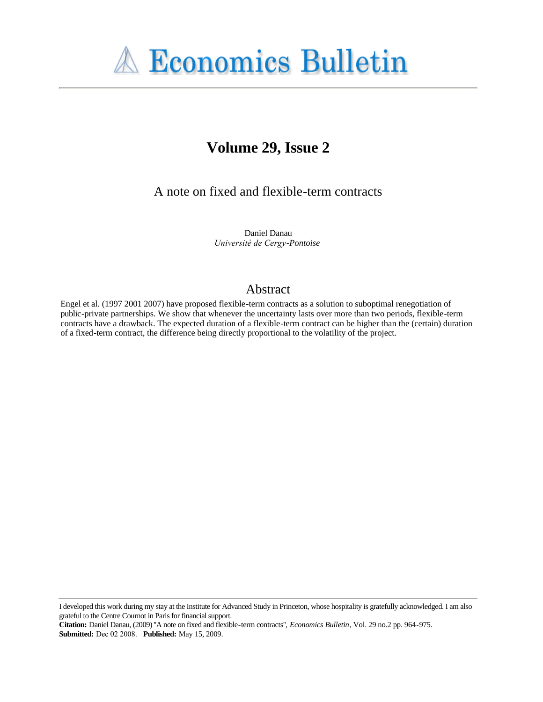

# **Volume 29, Issue 2**

A note on fixed and flexible-term contracts

Daniel Danau *Université de Cergy-Pontoise*

### Abstract

Engel et al. (1997 2001 2007) have proposed flexible-term contracts as a solution to suboptimal renegotiation of public-private partnerships. We show that whenever the uncertainty lasts over more than two periods, flexible-term contracts have a drawback. The expected duration of a flexible-term contract can be higher than the (certain) duration of a fixed-term contract, the difference being directly proportional to the volatility of the project.

I developed this work during my stay at the Institute for Advanced Study in Princeton, whose hospitality is gratefully acknowledged. I am also grateful to the Centre Cournot in Paris for financial support.

**Citation:** Daniel Danau, (2009) ''A note on fixed and flexible-term contracts'', *Economics Bulletin*, Vol. 29 no.2 pp. 964-975. **Submitted:** Dec 02 2008. **Published:** May 15, 2009.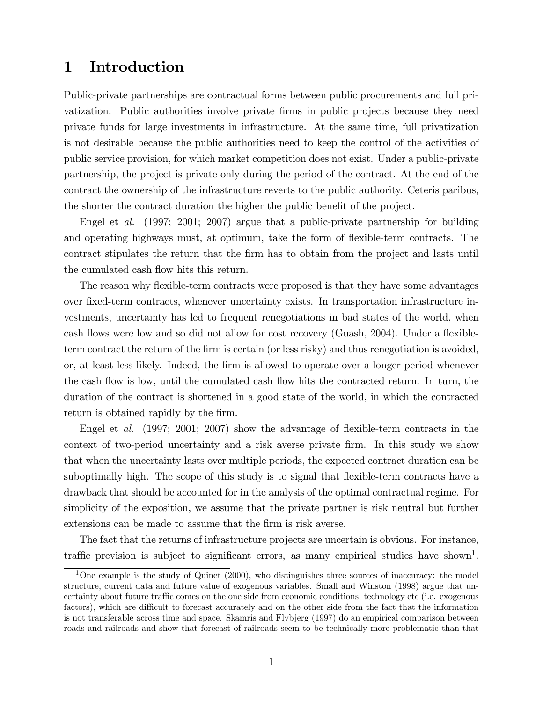## 1 Introduction

Public-private partnerships are contractual forms between public procurements and full privatization. Public authorities involve private Örms in public projects because they need private funds for large investments in infrastructure. At the same time, full privatization is not desirable because the public authorities need to keep the control of the activities of public service provision, for which market competition does not exist. Under a public-private partnership, the project is private only during the period of the contract. At the end of the contract the ownership of the infrastructure reverts to the public authority. Ceteris paribus, the shorter the contract duration the higher the public benefit of the project.

Engel et al. (1997; 2001; 2007) argue that a public-private partnership for building and operating highways must, at optimum, take the form of flexible-term contracts. The contract stipulates the return that the Örm has to obtain from the project and lasts until the cumulated cash flow hits this return.

The reason why flexible-term contracts were proposed is that they have some advantages over Öxed-term contracts, whenever uncertainty exists. In transportation infrastructure investments, uncertainty has led to frequent renegotiations in bad states of the world, when cash flows were low and so did not allow for cost recovery (Guash, 2004). Under a flexibleterm contract the return of the firm is certain (or less risky) and thus renegotiation is avoided, or, at least less likely. Indeed, the firm is allowed to operate over a longer period whenever the cash flow is low, until the cumulated cash flow hits the contracted return. In turn, the duration of the contract is shortened in a good state of the world, in which the contracted return is obtained rapidly by the firm.

Engel et al.  $(1997; 2001; 2007)$  show the advantage of flexible-term contracts in the context of two-period uncertainty and a risk averse private firm. In this study we show that when the uncertainty lasts over multiple periods, the expected contract duration can be suboptimally high. The scope of this study is to signal that flexible-term contracts have a drawback that should be accounted for in the analysis of the optimal contractual regime. For simplicity of the exposition, we assume that the private partner is risk neutral but further extensions can be made to assume that the firm is risk averse.

The fact that the returns of infrastructure projects are uncertain is obvious. For instance, traffic prevision is subject to significant errors, as many empirical studies have shown<sup>1</sup>.

 $1$ One example is the study of Quinet (2000), who distinguishes three sources of inaccuracy: the model structure, current data and future value of exogenous variables. Small and Winston (1998) argue that uncertainty about future traffic comes on the one side from economic conditions, technology etc (i.e. exogenous factors), which are difficult to forecast accurately and on the other side from the fact that the information is not transferable across time and space. Skamris and Flybjerg (1997) do an empirical comparison between roads and railroads and show that forecast of railroads seem to be technically more problematic than that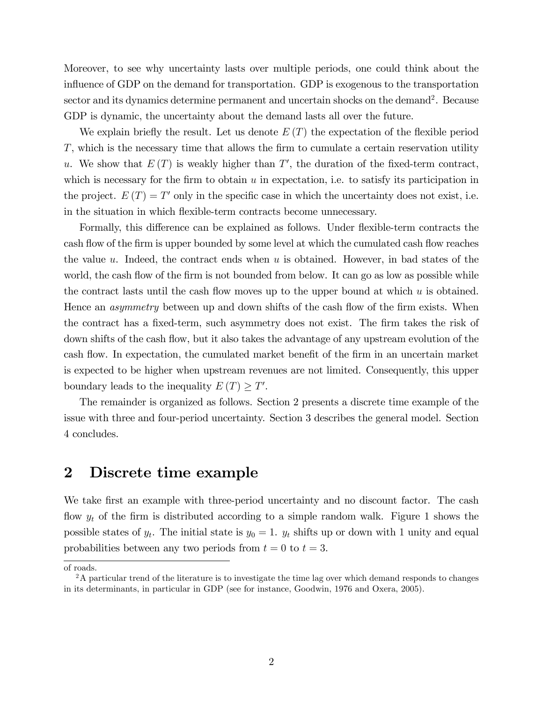Moreover, to see why uncertainty lasts over multiple periods, one could think about the influence of GDP on the demand for transportation. GDP is exogenous to the transportation sector and its dynamics determine permanent and uncertain shocks on the demand<sup>2</sup>. Because GDP is dynamic, the uncertainty about the demand lasts all over the future.

We explain briefly the result. Let us denote  $E(T)$  the expectation of the flexible period  $T$ , which is the necessary time that allows the firm to cumulate a certain reservation utility u. We show that  $E(T)$  is weakly higher than T', the duration of the fixed-term contract, which is necessary for the firm to obtain  $u$  in expectation, i.e. to satisfy its participation in the project.  $E(T) = T'$  only in the specific case in which the uncertainty does not exist, i.e. in the situation in which áexible-term contracts become unnecessary.

Formally, this difference can be explained as follows. Under flexible-term contracts the cash flow of the firm is upper bounded by some level at which the cumulated cash flow reaches the value u. Indeed, the contract ends when u is obtained. However, in bad states of the world, the cash flow of the firm is not bounded from below. It can go as low as possible while the contract lasts until the cash flow moves up to the upper bound at which  $u$  is obtained. Hence an *asymmetry* between up and down shifts of the cash flow of the firm exists. When the contract has a fixed-term, such asymmetry does not exist. The firm takes the risk of down shifts of the cash flow, but it also takes the advantage of any upstream evolution of the cash flow. In expectation, the cumulated market benefit of the firm in an uncertain market is expected to be higher when upstream revenues are not limited. Consequently, this upper boundary leads to the inequality  $E(T) \geq T'$ .

The remainder is organized as follows. Section 2 presents a discrete time example of the issue with three and four-period uncertainty. Section 3 describes the general model. Section 4 concludes.

### 2 Discrete time example

We take first an example with three-period uncertainty and no discount factor. The cash flow  $y_t$  of the firm is distributed according to a simple random walk. Figure 1 shows the possible states of  $y_t$ . The initial state is  $y_0 = 1$ .  $y_t$  shifts up or down with 1 unity and equal probabilities between any two periods from  $t = 0$  to  $t = 3$ .

of roads.

<sup>&</sup>lt;sup>2</sup>A particular trend of the literature is to investigate the time lag over which demand responds to changes in its determinants, in particular in GDP (see for instance, Goodwin, 1976 and Oxera, 2005).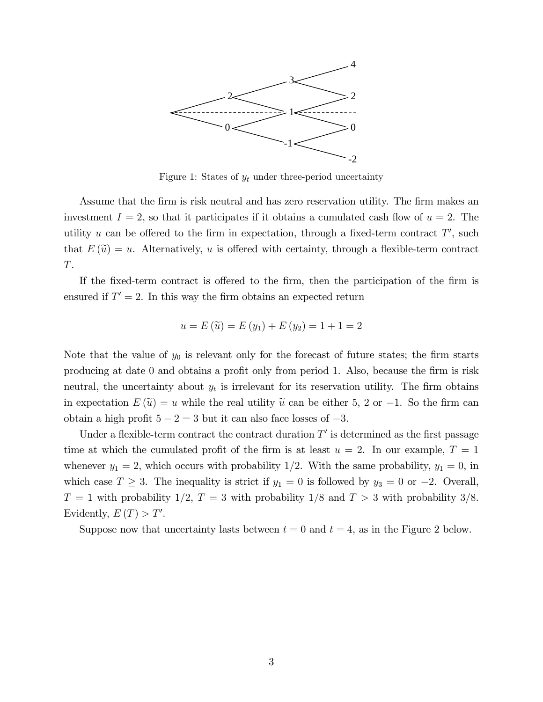

Figure 1: States of  $y_t$  under three-period uncertainty

Assume that the firm is risk neutral and has zero reservation utility. The firm makes an investment  $I = 2$ , so that it participates if it obtains a cumulated cash flow of  $u = 2$ . The utility u can be offered to the firm in expectation, through a fixed-term contract  $T'$ , such that  $E(\tilde{u}) = u$ . Alternatively, u is offered with certainty, through a flexible-term contract T.

If the fixed-term contract is offered to the firm, then the participation of the firm is ensured if  $T' = 2$ . In this way the firm obtains an expected return

$$
u = E(\tilde{u}) = E(y_1) + E(y_2) = 1 + 1 = 2
$$

Note that the value of  $y_0$  is relevant only for the forecast of future states; the firm starts producing at date 0 and obtains a profit only from period 1. Also, because the firm is risk neutral, the uncertainty about  $y_t$  is irrelevant for its reservation utility. The firm obtains in expectation  $E(\tilde{u}) = u$  while the real utility  $\tilde{u}$  can be either 5, 2 or -1. So the firm can obtain a high profit  $5 - 2 = 3$  but it can also face losses of  $-3$ .

Under a flexible-term contract the contract duration  $T'$  is determined as the first passage time at which the cumulated profit of the firm is at least  $u = 2$ . In our example,  $T = 1$ whenever  $y_1 = 2$ , which occurs with probability 1/2. With the same probability,  $y_1 = 0$ , in which case  $T \geq 3$ . The inequality is strict if  $y_1 = 0$  is followed by  $y_3 = 0$  or  $-2$ . Overall,  $T = 1$  with probability  $1/2, T = 3$  with probability  $1/8$  and  $T > 3$  with probability  $3/8$ . Evidently,  $E(T) > T'$ .

Suppose now that uncertainty lasts between  $t = 0$  and  $t = 4$ , as in the Figure 2 below.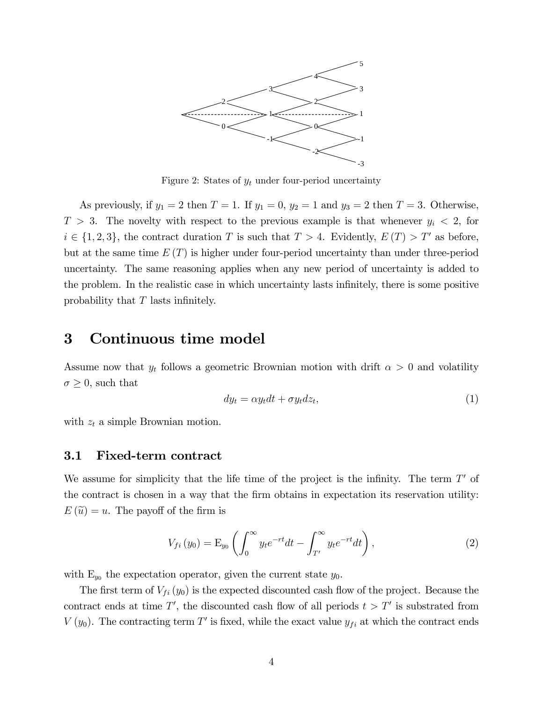

Figure 2: States of  $y_t$  under four-period uncertainty

As previously, if  $y_1 = 2$  then  $T = 1$ . If  $y_1 = 0$ ,  $y_2 = 1$  and  $y_3 = 2$  then  $T = 3$ . Otherwise,  $T > 3$ . The novelty with respect to the previous example is that whenever  $y_i < 2$ , for  $i \in \{1, 2, 3\}$ , the contract duration T is such that  $T > 4$ . Evidently,  $E(T) > T'$  as before, but at the same time  $E(T)$  is higher under four-period uncertainty than under three-period uncertainty. The same reasoning applies when any new period of uncertainty is added to the problem. In the realistic case in which uncertainty lasts infinitely, there is some positive probability that  $T$  lasts infinitely.

### 3 Continuous time model

Assume now that  $y_t$  follows a geometric Brownian motion with drift  $\alpha > 0$  and volatility  $\sigma \geq 0$ , such that

$$
dy_t = \alpha y_t dt + \sigma y_t dz_t, \tag{1}
$$

with  $z_t$  a simple Brownian motion.

#### 3.1 Fixed-term contract

We assume for simplicity that the life time of the project is the infinity. The term  $T'$  of the contract is chosen in a way that the Örm obtains in expectation its reservation utility:  $E(\tilde{u}) = u$ . The payoff of the firm is

$$
V_{fi}(y_0) = \mathcal{E}_{y_0} \left( \int_0^\infty y_t e^{-rt} dt - \int_{T'}^\infty y_t e^{-rt} dt \right), \tag{2}
$$

with  $E_{y_0}$  the expectation operator, given the current state  $y_0$ .

The first term of  $V_{fi} (y_0)$  is the expected discounted cash flow of the project. Because the contract ends at time T', the discounted cash flow of all periods  $t > T'$  is substrated from  $V(y_0)$ . The contracting term T' is fixed, while the exact value  $y_{fi}$  at which the contract ends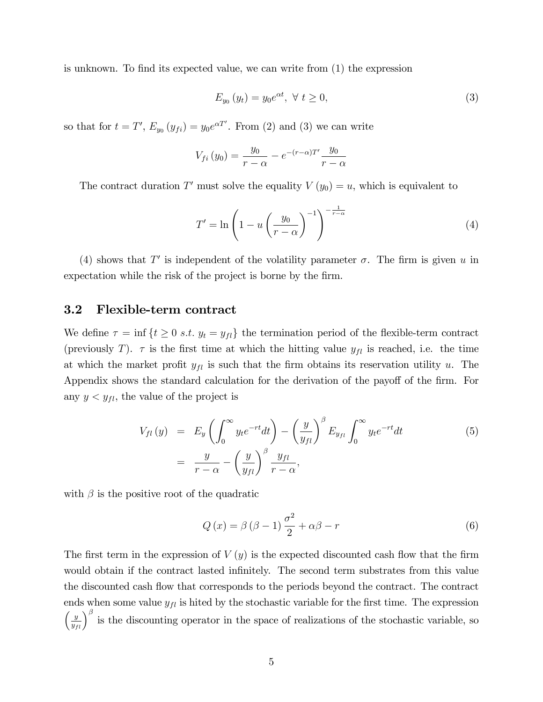is unknown. To find its expected value, we can write from  $(1)$  the expression

$$
E_{y_0}(y_t) = y_0 e^{\alpha t}, \ \forall \ t \ge 0,
$$
\n(3)

so that for  $t = T'$ ,  $E_{y_0}(y_{fi}) = y_0 e^{\alpha T'}$ . From (2) and (3) we can write

$$
V_{fi}(y_0) = \frac{y_0}{r - \alpha} - e^{-(r - \alpha)T'} \frac{y_0}{r - \alpha}
$$

The contract duration T' must solve the equality  $V(y_0) = u$ , which is equivalent to

$$
T' = \ln\left(1 - u\left(\frac{y_0}{r - \alpha}\right)^{-1}\right)^{-\frac{1}{r - \alpha}}\tag{4}
$$

(4) shows that T' is independent of the volatility parameter  $\sigma$ . The firm is given u in expectation while the risk of the project is borne by the firm.

#### 3.2 Flexible-term contract

We define  $\tau = \inf \{ t \geq 0 \text{ s.t. } y_t = y_{fl} \}$  the termination period of the flexible-term contract (previously T).  $\tau$  is the first time at which the hitting value  $y_{fl}$  is reached, i.e. the time at which the market profit  $y_{fl}$  is such that the firm obtains its reservation utility u. The Appendix shows the standard calculation for the derivation of the payoff of the firm. For any  $y < y_{fl}$ , the value of the project is

$$
V_{fl}(y) = E_y \left( \int_0^\infty y_t e^{-rt} dt \right) - \left( \frac{y}{y_{fl}} \right)^\beta E_{y_{fl}} \int_0^\infty y_t e^{-rt} dt
$$
\n
$$
= \frac{y}{r - \alpha} - \left( \frac{y}{y_{fl}} \right)^\beta \frac{y_{fl}}{r - \alpha},
$$
\n(5)

with  $\beta$  is the positive root of the quadratic

$$
Q(x) = \beta (\beta - 1) \frac{\sigma^2}{2} + \alpha \beta - r \tag{6}
$$

The first term in the expression of  $V(y)$  is the expected discounted cash flow that the firm would obtain if the contract lasted infinitely. The second term substrates from this value the discounted cash flow that corresponds to the periods beyond the contract. The contract ends when some value  $y_{fl}$  is hited by the stochastic variable for the first time. The expression  $\left(\frac{y}{y_{fl}}\right)^{\beta}$  is the discounting operator in the space of realizations of the stochastic variable, so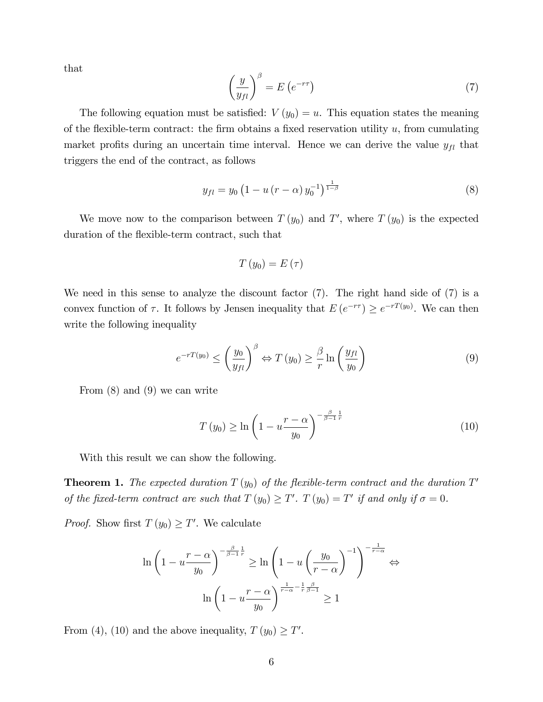that

$$
\left(\frac{y}{y_{fl}}\right)^{\beta} = E\left(e^{-r\tau}\right) \tag{7}
$$

The following equation must be satisfied:  $V(y_0) = u$ . This equation states the meaning of the flexible-term contract: the firm obtains a fixed reservation utility  $u$ , from cumulating market profits during an uncertain time interval. Hence we can derive the value  $y_{fl}$  that triggers the end of the contract, as follows

$$
y_{fl} = y_0 \left( 1 - u \left( r - \alpha \right) y_0^{-1} \right)^{\frac{1}{1 - \beta}} \tag{8}
$$

We move now to the comparison between  $T(y_0)$  and  $T'$ , where  $T(y_0)$  is the expected duration of the flexible-term contract, such that

$$
T\left(y_{0}\right)=E\left(\tau\right)
$$

We need in this sense to analyze the discount factor (7). The right hand side of (7) is a convex function of  $\tau$ . It follows by Jensen inequality that  $E(e^{-r\tau}) \geq e^{-rT(y_0)}$ . We can then write the following inequality

$$
e^{-rT(y_0)} \le \left(\frac{y_0}{y_{fl}}\right)^{\beta} \Leftrightarrow T(y_0) \ge \frac{\beta}{r} \ln\left(\frac{y_{fl}}{y_0}\right) \tag{9}
$$

From (8) and (9) we can write

$$
T(y_0) \ge \ln\left(1 - u \frac{r - \alpha}{y_0}\right)^{-\frac{\beta}{\beta - 1}\frac{1}{r}}\tag{10}
$$

With this result we can show the following.

**Theorem 1.** The expected duration  $T(y_0)$  of the flexible-term contract and the duration  $T'$ of the fixed-term contract are such that  $T(y_0) \geq T'$ .  $T(y_0) = T'$  if and only if  $\sigma = 0$ .

*Proof.* Show first  $T(y_0) \geq T'$ . We calculate

$$
\ln\left(1 - u\frac{r - \alpha}{y_0}\right)^{-\frac{\beta}{\beta - 1}\frac{1}{r}} \ge \ln\left(1 - u\left(\frac{y_0}{r - \alpha}\right)^{-1}\right)^{-\frac{1}{r - \alpha}} \Leftrightarrow
$$

$$
\ln\left(1 - u\frac{r - \alpha}{y_0}\right)^{\frac{1}{r - \alpha} - \frac{1}{r}\frac{\beta}{\beta - 1}} \ge 1
$$

From (4), (10) and the above inequality,  $T(y_0) \geq T'$ .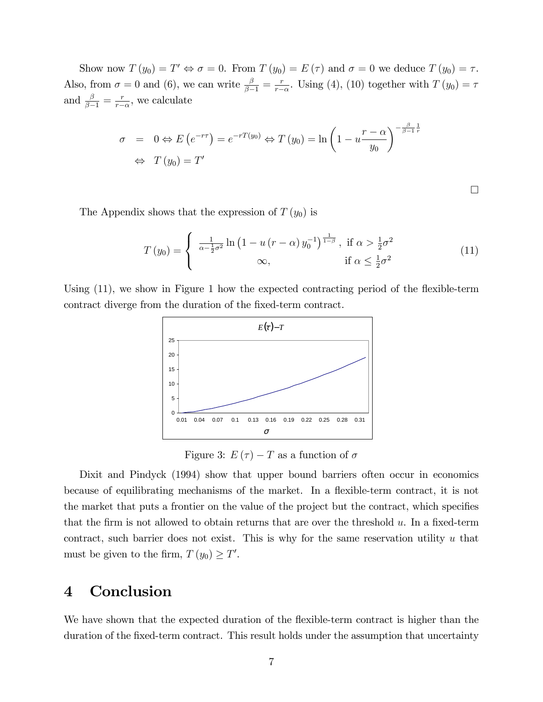Show now  $T(y_0) = T' \Leftrightarrow \sigma = 0$ . From  $T(y_0) = E(\tau)$  and  $\sigma = 0$  we deduce  $T(y_0) = \tau$ . Also, from  $\sigma = 0$  and (6), we can write  $\frac{\beta}{\beta - 1} = \frac{r}{r - 1}$  $\frac{r}{r-\alpha}$ . Using (4), (10) together with  $T(y_0) = \tau$ and  $\frac{\beta}{\beta-1} = \frac{r}{r-1}$  $\frac{r}{r-\alpha}$ , we calculate

$$
\sigma = 0 \Leftrightarrow E(e^{-r\tau}) = e^{-rT(y_0)} \Leftrightarrow T(y_0) = \ln\left(1 - u\frac{r - \alpha}{y_0}\right)^{-\frac{\beta}{\beta - 1}\frac{1}{r}}
$$

$$
\Leftrightarrow T(y_0) = T'
$$

 $\Box$ 

The Appendix shows that the expression of  $T(y_0)$  is

$$
T(y_0) = \begin{cases} \frac{1}{\alpha - \frac{1}{2}\sigma^2} \ln\left(1 - u\left(r - \alpha\right)y_0^{-1}\right)^{\frac{1}{1-\beta}}, & \text{if } \alpha > \frac{1}{2}\sigma^2\\ \infty, & \text{if } \alpha \le \frac{1}{2}\sigma^2 \end{cases}
$$
(11)

Using (11), we show in Figure 1 how the expected contracting period of the flexible-term contract diverge from the duration of the fixed-term contract.



Figure 3:  $E(\tau) - T$  as a function of  $\sigma$ 

Dixit and Pindyck (1994) show that upper bound barriers often occur in economics because of equilibrating mechanisms of the market. In a flexible-term contract, it is not the market that puts a frontier on the value of the project but the contract, which specifies that the firm is not allowed to obtain returns that are over the threshold  $u$ . In a fixed-term contract, such barrier does not exist. This is why for the same reservation utility  $u$  that must be given to the firm,  $T(y_0) \geq T'$ .

## 4 Conclusion

We have shown that the expected duration of the flexible-term contract is higher than the duration of the fixed-term contract. This result holds under the assumption that uncertainty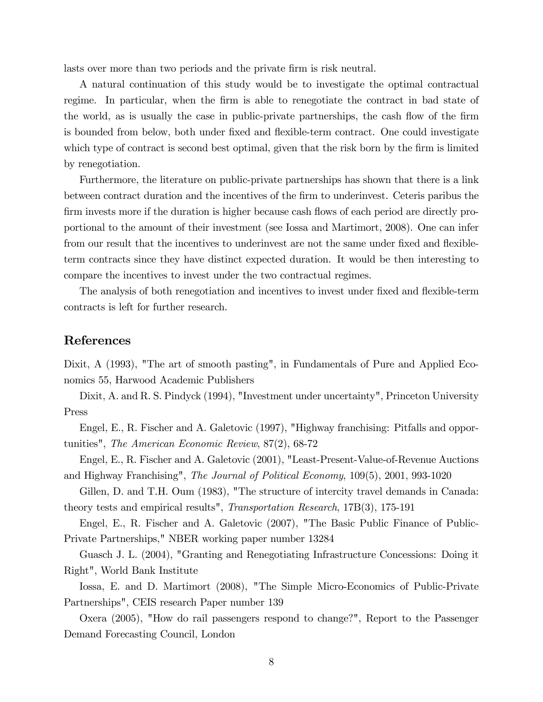lasts over more than two periods and the private firm is risk neutral.

A natural continuation of this study would be to investigate the optimal contractual regime. In particular, when the firm is able to renegotiate the contract in bad state of the world, as is usually the case in public-private partnerships, the cash flow of the firm is bounded from below, both under fixed and flexible-term contract. One could investigate which type of contract is second best optimal, given that the risk born by the firm is limited by renegotiation.

Furthermore, the literature on public-private partnerships has shown that there is a link between contract duration and the incentives of the Örm to underinvest. Ceteris paribus the firm invests more if the duration is higher because cash flows of each period are directly proportional to the amount of their investment (see Iossa and Martimort, 2008). One can infer from our result that the incentives to underinvest are not the same under fixed and flexibleterm contracts since they have distinct expected duration. It would be then interesting to compare the incentives to invest under the two contractual regimes.

The analysis of both renegotiation and incentives to invest under fixed and flexible-term contracts is left for further research.

#### References

Dixit, A (1993), "The art of smooth pasting", in Fundamentals of Pure and Applied Economics 55, Harwood Academic Publishers

Dixit, A. and R. S. Pindyck (1994), "Investment under uncertainty", Princeton University Press

Engel, E., R. Fischer and A. Galetovic (1997), "Highway franchising: Pitfalls and opportunities", The American Economic Review, 87(2), 68-72

Engel, E., R. Fischer and A. Galetovic (2001), "Least-Present-Value-of-Revenue Auctions and Highway Franchising", The Journal of Political Economy, 109(5), 2001, 993-1020

Gillen, D. and T.H. Oum (1983), "The structure of intercity travel demands in Canada: theory tests and empirical results", Transportation Research, 17B(3), 175-191

Engel, E., R. Fischer and A. Galetovic (2007), "The Basic Public Finance of Public-Private Partnerships," NBER working paper number 13284

Guasch J. L. (2004), "Granting and Renegotiating Infrastructure Concessions: Doing it Right", World Bank Institute

Iossa, E. and D. Martimort (2008), "The Simple Micro-Economics of Public-Private Partnerships", CEIS research Paper number 139

Oxera (2005), "How do rail passengers respond to change?", Report to the Passenger Demand Forecasting Council, London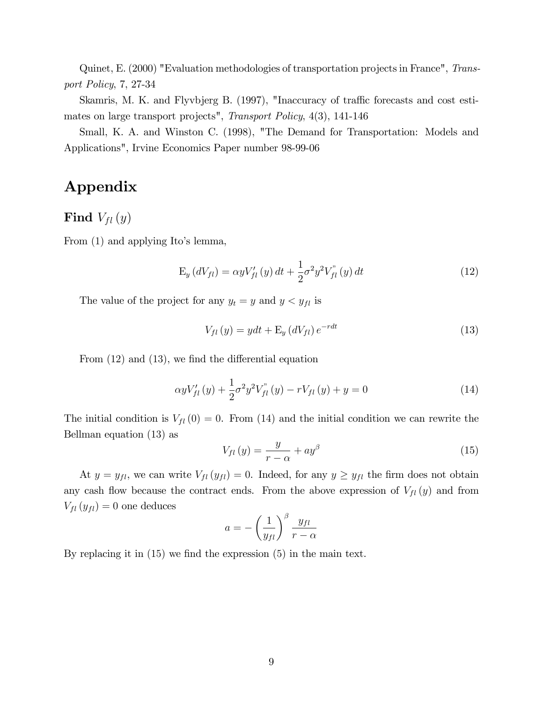Quinet, E. (2000) "Evaluation methodologies of transportation projects in France", Transport Policy, 7, 27-34

Skamris, M. K. and Flyvbjerg B. (1997), "Inaccuracy of traffic forecasts and cost estimates on large transport projects", Transport Policy, 4(3), 141-146

Small, K. A. and Winston C. (1998), "The Demand for Transportation: Models and Applications", Irvine Economics Paper number 98-99-06

## Appendix

Find  $V_{fl}(y)$ 

From (1) and applying Ito's lemma,

$$
E_y(dV_{fl}) = \alpha y V_{fl}'(y) dt + \frac{1}{2} \sigma^2 y^2 V_{fl}''(y) dt
$$
 (12)

The value of the project for any  $y_t = y$  and  $y < y_{fl}$  is

$$
V_{fl}(y) = ydt + \mathbf{E}_y \left(dV_{fl}\right) e^{-rdt} \tag{13}
$$

From  $(12)$  and  $(13)$ , we find the differential equation

$$
\alpha y V'_{fl}(y) + \frac{1}{2} \sigma^2 y^2 V^*_{fl}(y) - r V_{fl}(y) + y = 0 \tag{14}
$$

The initial condition is  $V_{fl} (0) = 0$ . From (14) and the initial condition we can rewrite the Bellman equation (13) as

$$
V_{fl}(y) = \frac{y}{r - \alpha} + ay^{\beta} \tag{15}
$$

At  $y = y_{fl}$ , we can write  $V_{fl}(y_{fl}) = 0$ . Indeed, for any  $y \ge y_{fl}$  the firm does not obtain any cash flow because the contract ends. From the above expression of  $V_{fl}(y)$  and from  $V_{fl}\left(y_{fl}\right) = 0$  one deduces

$$
a = -\left(\frac{1}{y_{fl}}\right)^{\beta} \frac{y_{fl}}{r - \alpha}
$$

By replacing it in  $(15)$  we find the expression  $(5)$  in the main text.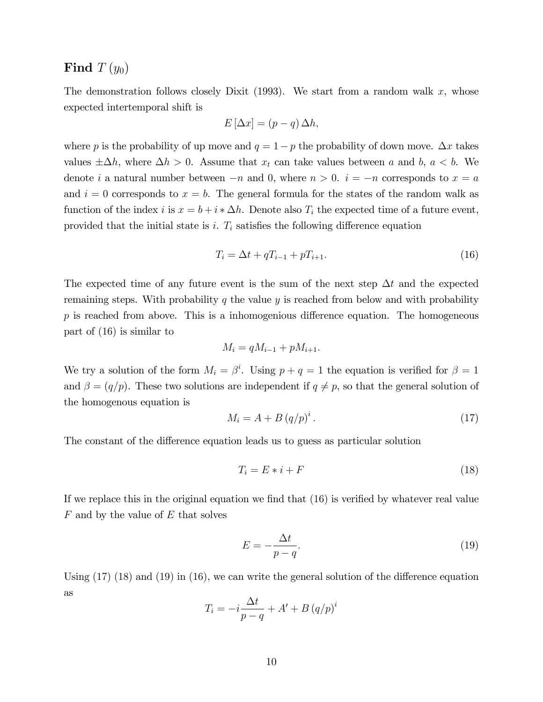## Find  $T(y_0)$

The demonstration follows closely Dixit (1993). We start from a random walk  $x$ , whose expected intertemporal shift is

$$
E\left[\Delta x\right] = (p - q)\,\Delta h,
$$

where p is the probability of up move and  $q = 1 - p$  the probability of down move.  $\Delta x$  takes values  $\pm \Delta h$ , where  $\Delta h > 0$ . Assume that  $x_t$  can take values between a and b,  $a < b$ . We denote i a natural number between  $-n$  and 0, where  $n > 0$ .  $i = -n$  corresponds to  $x = a$ and  $i = 0$  corresponds to  $x = b$ . The general formula for the states of the random walk as function of the index i is  $x = b + i * \Delta h$ . Denote also  $T_i$  the expected time of a future event, provided that the initial state is i.  $T_i$  satisfies the following difference equation

$$
T_i = \Delta t + qT_{i-1} + pT_{i+1}.
$$
\n(16)

The expected time of any future event is the sum of the next step  $\Delta t$  and the expected remaining steps. With probability q the value y is reached from below and with probability  $p$  is reached from above. This is a inhomogenious difference equation. The homogeneous part of (16) is similar to

$$
M_i = qM_{i-1} + pM_{i+1}.
$$

We try a solution of the form  $M_i = \beta^i$ . Using  $p + q = 1$  the equation is verified for  $\beta = 1$ and  $\beta = (q/p)$ . These two solutions are independent if  $q \neq p$ , so that the general solution of the homogenous equation is

$$
M_i = A + B (q/p)^i. \tag{17}
$$

The constant of the difference equation leads us to guess as particular solution

$$
T_i = E * i + F \tag{18}
$$

If we replace this in the original equation we find that  $(16)$  is verified by whatever real value  $F$  and by the value of  $E$  that solves

$$
E = -\frac{\Delta t}{p - q}.\tag{19}
$$

Using  $(17)$   $(18)$  and  $(19)$  in  $(16)$ , we can write the general solution of the difference equation as

$$
T_i = -i\frac{\Delta t}{p-q} + A' + B (q/p)^i
$$